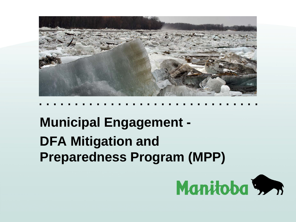

**. . . . . . . . . . . . . . . . . . . . . . . . . . . . . . .** 

#### **Municipal Engagement - DFA Mitigation and Preparedness Program (MPP)**

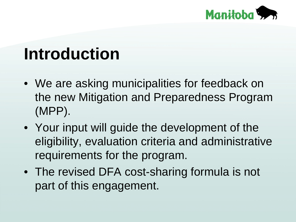

#### **Introduction**

- We are asking municipalities for feedback on the new Mitigation and Preparedness Program (MPP).
- Your input will guide the development of the eligibility, evaluation criteria and administrative requirements for the program.
- The revised DFA cost-sharing formula is not part of this engagement.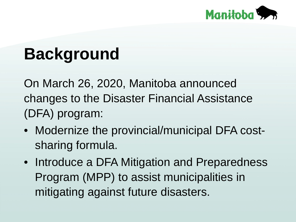

### **Background**

On March 26, 2020, Manitoba announced changes to the Disaster Financial Assistance (DFA) program:

- Modernize the provincial/municipal DFA costsharing formula.
- Introduce a DFA Mitigation and Preparedness Program (MPP) to assist municipalities in mitigating against future disasters.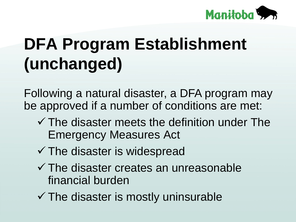

## **DFA Program Establishment (unchanged)**

Following a natural disaster, a DFA program may be approved if a number of conditions are met:

- $\checkmark$  The disaster meets the definition under The Emergency Measures Act
- $\checkmark$  The disaster is widespread
- $\checkmark$  The disaster creates an unreasonable financial burden
- $\checkmark$  The disaster is mostly uninsurable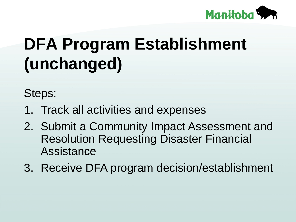

## **DFA Program Establishment (unchanged)**

Steps:

- 1. Track all activities and expenses
- 2. Submit a Community Impact Assessment and Resolution Requesting Disaster Financial Assistance
- 3. Receive DFA program decision/establishment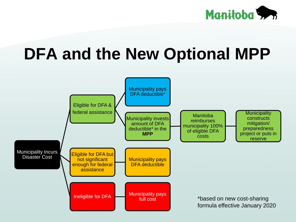

### **DFA and the New Optional MPP**

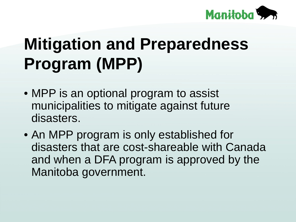

## **Mitigation and Preparedness Program (MPP)**

- MPP is an optional program to assist municipalities to mitigate against future disasters.
- An MPP program is only established for disasters that are cost-shareable with Canada and when a DFA program is approved by the Manitoba government.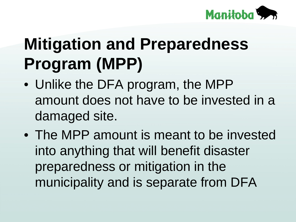

## **Mitigation and Preparedness Program (MPP)**

- Unlike the DFA program, the MPP amount does not have to be invested in a damaged site.
- The MPP amount is meant to be invested into anything that will benefit disaster preparedness or mitigation in the municipality and is separate from DFA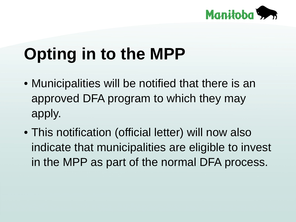

## **Opting in to the MPP**

- Municipalities will be notified that there is an approved DFA program to which they may apply.
- This notification (official letter) will now also indicate that municipalities are eligible to invest in the MPP as part of the normal DFA process.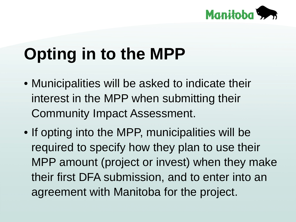

## **Opting in to the MPP**

- Municipalities will be asked to indicate their interest in the MPP when submitting their Community Impact Assessment.
- If opting into the MPP, municipalities will be required to specify how they plan to use their MPP amount (project or invest) when they make their first DFA submission, and to enter into an agreement with Manitoba for the project.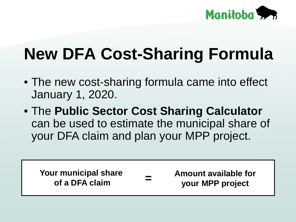

## **New DFA Cost-Sharing Formula**

- The new cost-sharing formula came into effect January 1, 2020.
- The **Public Sector Cost Sharing Calculator**  can be used to estimate the municipal share of your DFA claim and plan your MPP project.

**Your municipal share of a DFA claim** 

**Amount available for your MPP project =**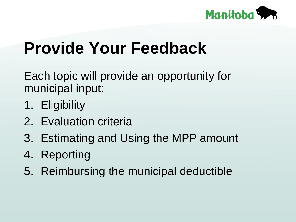

#### **Provide Your Feedback**

Each topic will provide an opportunity for municipal input:

- 1. Eligibility
- 2. Evaluation criteria
- 3. Estimating and Using the MPP amount
- 4. Reporting
- 5. Reimbursing the municipal deductible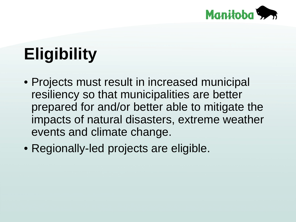

# **Eligibility**

- Projects must result in increased municipal resiliency so that municipalities are better prepared for and/or better able to mitigate the impacts of natural disasters, extreme weather events and climate change.
- Regionally-led projects are eligible.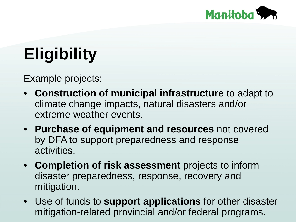

# **Eligibility**

Example projects:

- **Construction of municipal infrastructure** to adapt to climate change impacts, natural disasters and/or extreme weather events.
- **Purchase of equipment and resources** not covered by DFA to support preparedness and response activities.
- **Completion of risk assessment** projects to inform disaster preparedness, response, recovery and mitigation.
- Use of funds to **support applications** for other disaster mitigation-related provincial and/or federal programs.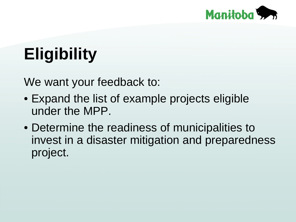

## **Eligibility**

We want your feedback to:

- Expand the list of example projects eligible under the MPP.
- Determine the readiness of municipalities to invest in a disaster mitigation and preparedness project.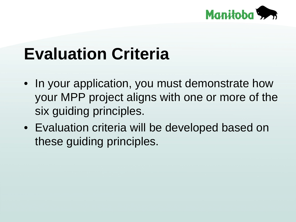

### **Evaluation Criteria**

- In your application, you must demonstrate how your MPP project aligns with one or more of the six guiding principles.
- Evaluation criteria will be developed based on these guiding principles.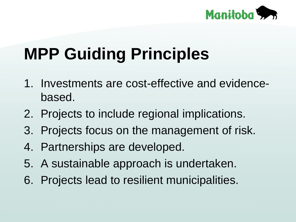

- 1. Investments are cost-effective and evidencebased.
- 2. Projects to include regional implications.
- 3. Projects focus on the management of risk.
- 4. Partnerships are developed.
- 5. A sustainable approach is undertaken.
- 6. Projects lead to resilient municipalities.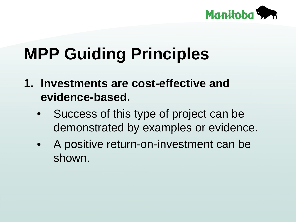

- **1. Investments are cost-effective and evidence-based.**
	- Success of this type of project can be demonstrated by examples or evidence.
	- A positive return-on-investment can be shown.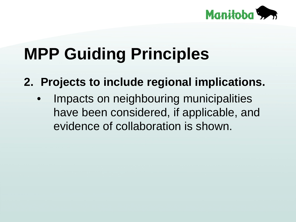

**2. Projects to include regional implications.**

Impacts on neighbouring municipalities have been considered, if applicable, and evidence of collaboration is shown.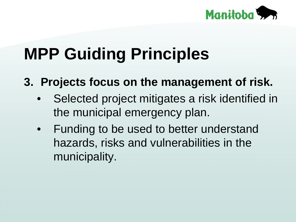

**3. Projects focus on the management of risk.**

- Selected project mitigates a risk identified in the municipal emergency plan.
- Funding to be used to better understand hazards, risks and vulnerabilities in the municipality.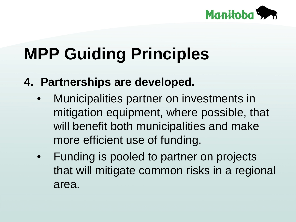

- **4. Partnerships are developed.**
	- Municipalities partner on investments in mitigation equipment, where possible, that will benefit both municipalities and make more efficient use of funding.
	- Funding is pooled to partner on projects that will mitigate common risks in a regional area.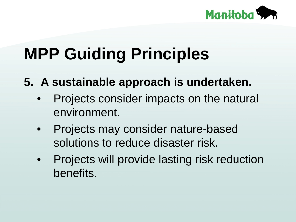

- **5. A sustainable approach is undertaken.**
	- Projects consider impacts on the natural environment.
	- Projects may consider nature-based solutions to reduce disaster risk.
	- Projects will provide lasting risk reduction benefits.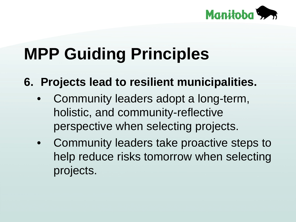

**6. Projects lead to resilient municipalities.** 

- Community leaders adopt a long-term, holistic, and community-reflective perspective when selecting projects.
- Community leaders take proactive steps to help reduce risks tomorrow when selecting projects.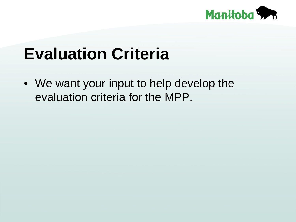

### **Evaluation Criteria**

• We want your input to help develop the evaluation criteria for the MPP.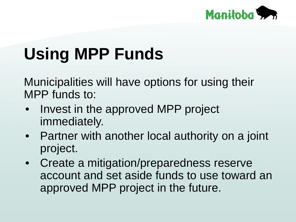

## **Using MPP Funds**

Municipalities will have options for using their MPP funds to:

- Invest in the approved MPP project immediately.
- Partner with another local authority on a joint project.
- Create a mitigation/preparedness reserve account and set aside funds to use toward an approved MPP project in the future.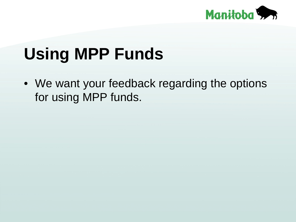

### **Using MPP Funds**

• We want your feedback regarding the options for using MPP funds.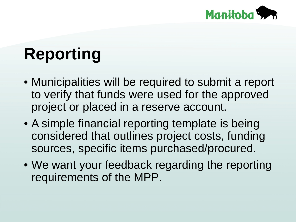

## **Reporting**

- Municipalities will be required to submit a report to verify that funds were used for the approved project or placed in a reserve account.
- A simple financial reporting template is being considered that outlines project costs, funding sources, specific items purchased/procured.
- We want your feedback regarding the reporting requirements of the MPP.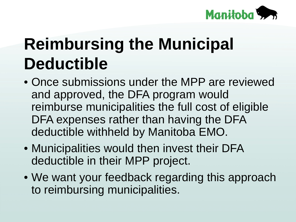

### **Reimbursing the Municipal Deductible**

- Once submissions under the MPP are reviewed and approved, the DFA program would reimburse municipalities the full cost of eligible DFA expenses rather than having the DFA deductible withheld by Manitoba EMO.
- Municipalities would then invest their DFA deductible in their MPP project.
- We want your feedback regarding this approach to reimbursing municipalities.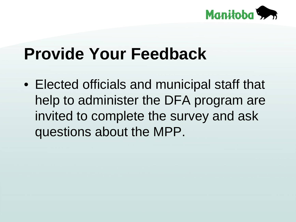

#### **Provide Your Feedback**

• Elected officials and municipal staff that help to administer the DFA program are invited to complete the survey and ask questions about the MPP.